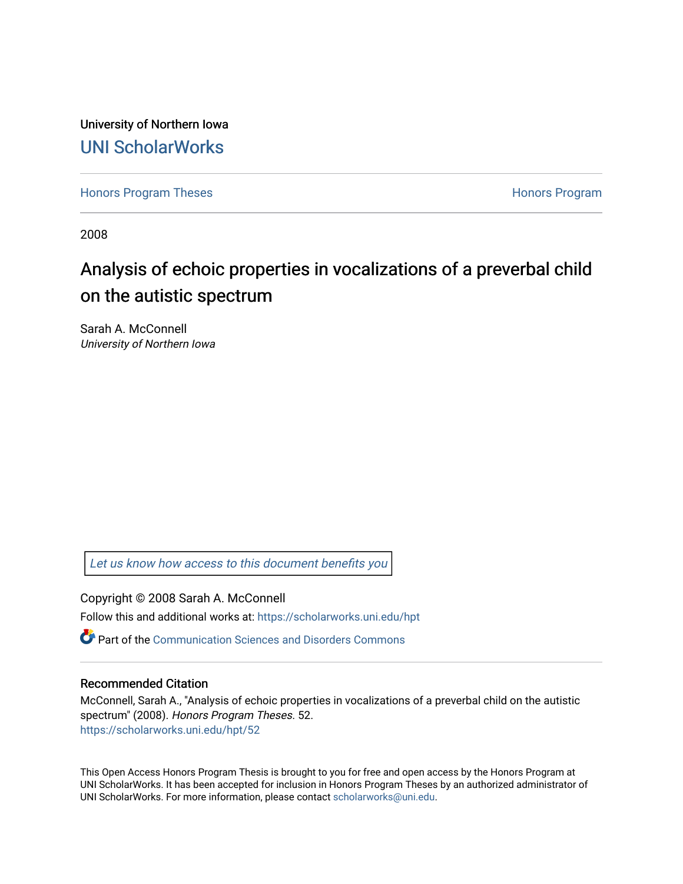University of Northern Iowa [UNI ScholarWorks](https://scholarworks.uni.edu/) 

[Honors Program Theses](https://scholarworks.uni.edu/hpt) **Honors Program** Honors Program

2008

# Analysis of echoic properties in vocalizations of a preverbal child on the autistic spectrum

Sarah A. McConnell University of Northern Iowa

[Let us know how access to this document benefits you](https://scholarworks.uni.edu/feedback_form.html) 

Copyright © 2008 Sarah A. McConnell Follow this and additional works at: [https://scholarworks.uni.edu/hpt](https://scholarworks.uni.edu/hpt?utm_source=scholarworks.uni.edu%2Fhpt%2F52&utm_medium=PDF&utm_campaign=PDFCoverPages) 

 $\bullet$  Part of the [Communication Sciences and Disorders Commons](http://network.bepress.com/hgg/discipline/1019?utm_source=scholarworks.uni.edu%2Fhpt%2F52&utm_medium=PDF&utm_campaign=PDFCoverPages)

## Recommended Citation

McConnell, Sarah A., "Analysis of echoic properties in vocalizations of a preverbal child on the autistic spectrum" (2008). Honors Program Theses. 52. [https://scholarworks.uni.edu/hpt/52](https://scholarworks.uni.edu/hpt/52?utm_source=scholarworks.uni.edu%2Fhpt%2F52&utm_medium=PDF&utm_campaign=PDFCoverPages)

This Open Access Honors Program Thesis is brought to you for free and open access by the Honors Program at UNI ScholarWorks. It has been accepted for inclusion in Honors Program Theses by an authorized administrator of UNI ScholarWorks. For more information, please contact [scholarworks@uni.edu.](mailto:scholarworks@uni.edu)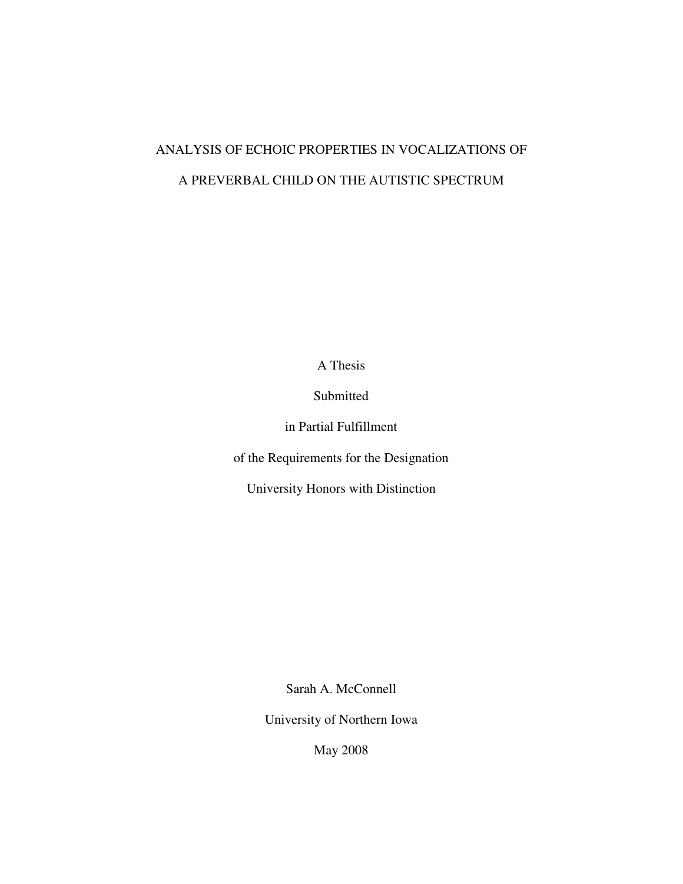# ANALYSIS OF ECHOIC PROPERTIES IN VOCALIZATIONS OF A PREVERBAL CHILD ON THE AUTISTIC SPECTRUM

A Thesis

Submitted

in Partial Fulfillment

of the Requirements for the Designation

University Honors with Distinction

Sarah A. McConnell

University of Northern Iowa

May 2008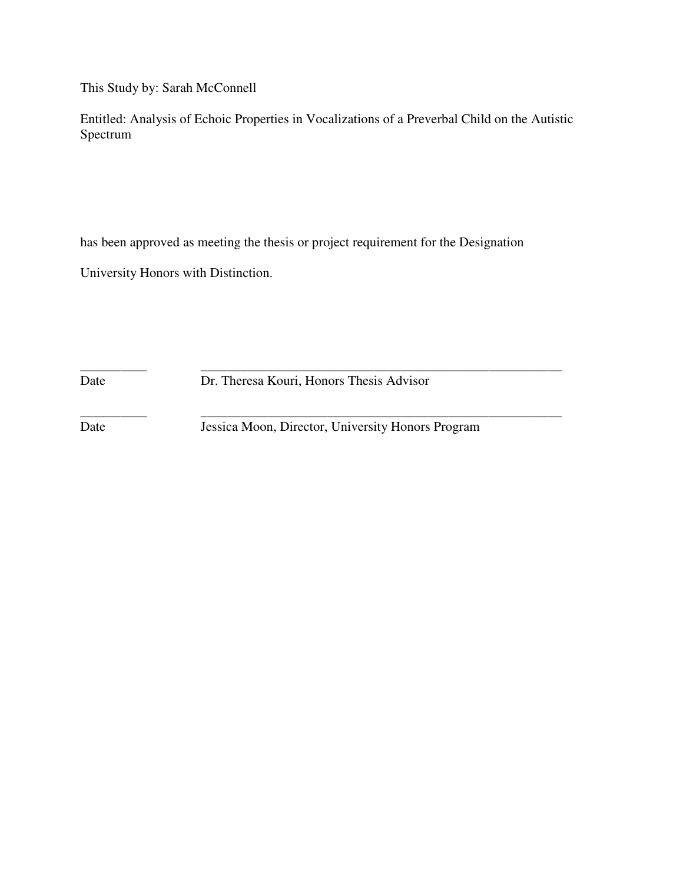This Study by: Sarah McConnell

Entitled: Analysis of Echoic Properties in Vocalizations of a Preverbal Child on the Autistic Spectrum

has been approved as meeting the thesis or project requirement for the Designation

University Honors with Distinction.

\_\_\_\_\_\_\_\_\_\_ \_\_\_\_\_\_\_\_\_\_\_\_\_\_\_\_\_\_\_\_\_\_\_\_\_\_\_\_\_\_\_\_\_\_\_\_\_\_\_\_\_\_\_\_\_\_\_\_\_\_\_\_\_\_ Date Dr. Theresa Kouri, Honors Thesis Advisor

\_\_\_\_\_\_\_\_\_\_ \_\_\_\_\_\_\_\_\_\_\_\_\_\_\_\_\_\_\_\_\_\_\_\_\_\_\_\_\_\_\_\_\_\_\_\_\_\_\_\_\_\_\_\_\_\_\_\_\_\_\_\_\_\_

Date Jessica Moon, Director, University Honors Program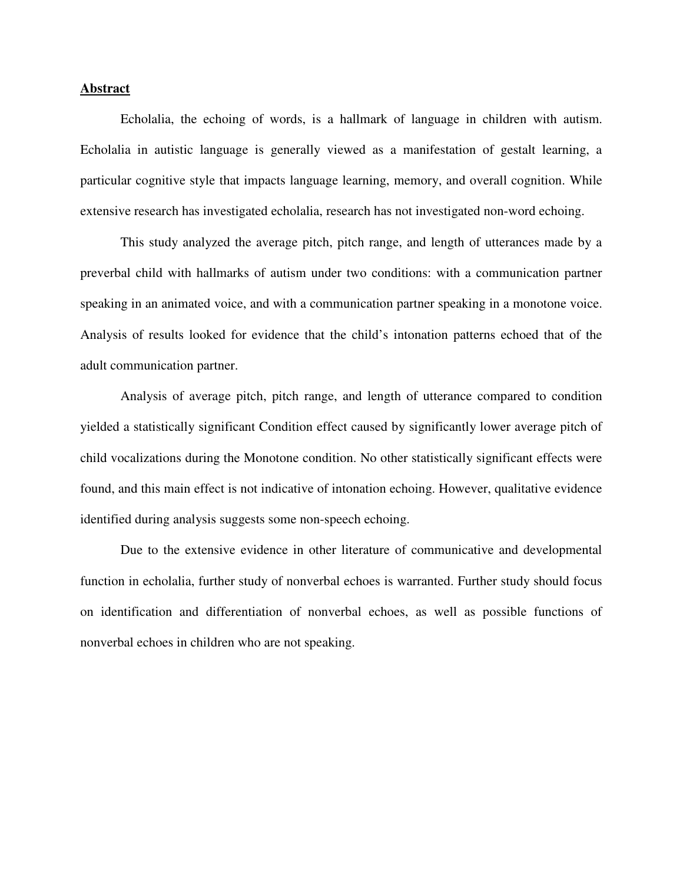# **Abstract**

 Echolalia, the echoing of words, is a hallmark of language in children with autism. Echolalia in autistic language is generally viewed as a manifestation of gestalt learning, a particular cognitive style that impacts language learning, memory, and overall cognition. While extensive research has investigated echolalia, research has not investigated non-word echoing.

 This study analyzed the average pitch, pitch range, and length of utterances made by a preverbal child with hallmarks of autism under two conditions: with a communication partner speaking in an animated voice, and with a communication partner speaking in a monotone voice. Analysis of results looked for evidence that the child's intonation patterns echoed that of the adult communication partner.

 Analysis of average pitch, pitch range, and length of utterance compared to condition yielded a statistically significant Condition effect caused by significantly lower average pitch of child vocalizations during the Monotone condition. No other statistically significant effects were found, and this main effect is not indicative of intonation echoing. However, qualitative evidence identified during analysis suggests some non-speech echoing.

 Due to the extensive evidence in other literature of communicative and developmental function in echolalia, further study of nonverbal echoes is warranted. Further study should focus on identification and differentiation of nonverbal echoes, as well as possible functions of nonverbal echoes in children who are not speaking.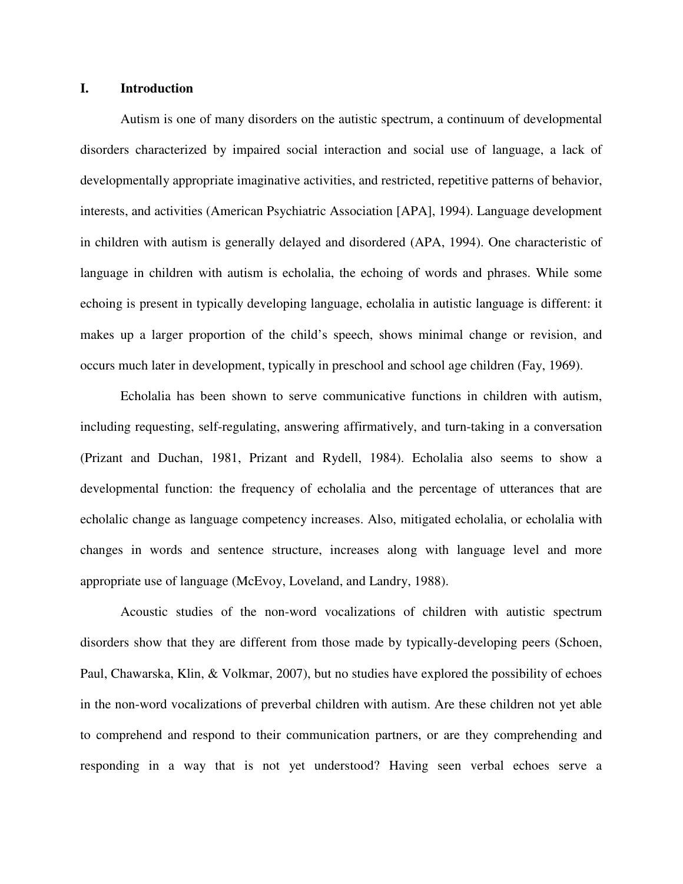# **I. Introduction**

 Autism is one of many disorders on the autistic spectrum, a continuum of developmental disorders characterized by impaired social interaction and social use of language, a lack of developmentally appropriate imaginative activities, and restricted, repetitive patterns of behavior, interests, and activities (American Psychiatric Association [APA], 1994). Language development in children with autism is generally delayed and disordered (APA, 1994). One characteristic of language in children with autism is echolalia, the echoing of words and phrases. While some echoing is present in typically developing language, echolalia in autistic language is different: it makes up a larger proportion of the child's speech, shows minimal change or revision, and occurs much later in development, typically in preschool and school age children (Fay, 1969).

 Echolalia has been shown to serve communicative functions in children with autism, including requesting, self-regulating, answering affirmatively, and turn-taking in a conversation (Prizant and Duchan, 1981, Prizant and Rydell, 1984). Echolalia also seems to show a developmental function: the frequency of echolalia and the percentage of utterances that are echolalic change as language competency increases. Also, mitigated echolalia, or echolalia with changes in words and sentence structure, increases along with language level and more appropriate use of language (McEvoy, Loveland, and Landry, 1988).

 Acoustic studies of the non-word vocalizations of children with autistic spectrum disorders show that they are different from those made by typically-developing peers (Schoen, Paul, Chawarska, Klin, & Volkmar, 2007), but no studies have explored the possibility of echoes in the non-word vocalizations of preverbal children with autism. Are these children not yet able to comprehend and respond to their communication partners, or are they comprehending and responding in a way that is not yet understood? Having seen verbal echoes serve a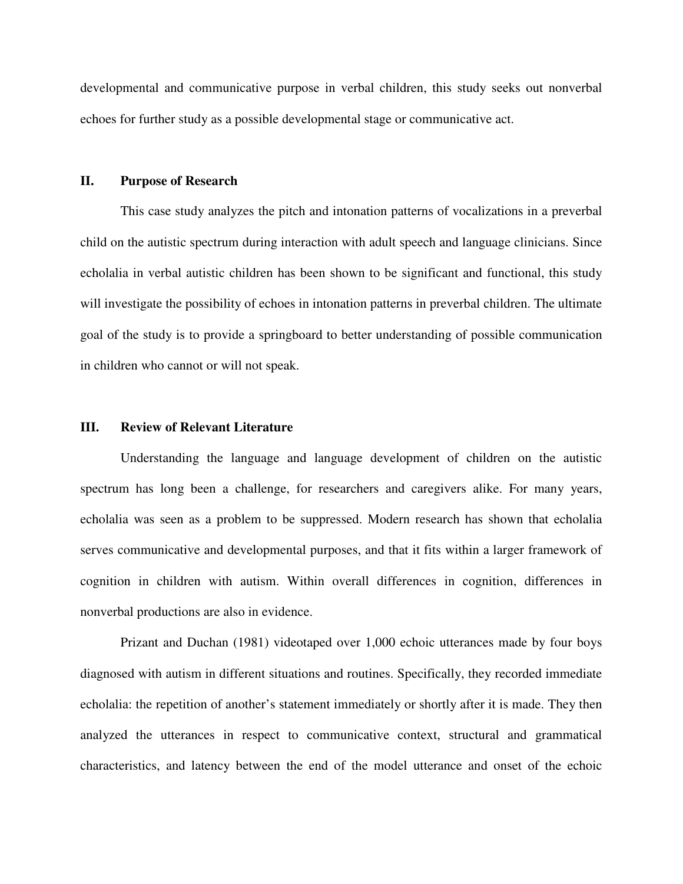developmental and communicative purpose in verbal children, this study seeks out nonverbal echoes for further study as a possible developmental stage or communicative act.

## **II. Purpose of Research**

 This case study analyzes the pitch and intonation patterns of vocalizations in a preverbal child on the autistic spectrum during interaction with adult speech and language clinicians. Since echolalia in verbal autistic children has been shown to be significant and functional, this study will investigate the possibility of echoes in intonation patterns in preverbal children. The ultimate goal of the study is to provide a springboard to better understanding of possible communication in children who cannot or will not speak.

## **III. Review of Relevant Literature**

 Understanding the language and language development of children on the autistic spectrum has long been a challenge, for researchers and caregivers alike. For many years, echolalia was seen as a problem to be suppressed. Modern research has shown that echolalia serves communicative and developmental purposes, and that it fits within a larger framework of cognition in children with autism. Within overall differences in cognition, differences in nonverbal productions are also in evidence.

 Prizant and Duchan (1981) videotaped over 1,000 echoic utterances made by four boys diagnosed with autism in different situations and routines. Specifically, they recorded immediate echolalia: the repetition of another's statement immediately or shortly after it is made. They then analyzed the utterances in respect to communicative context, structural and grammatical characteristics, and latency between the end of the model utterance and onset of the echoic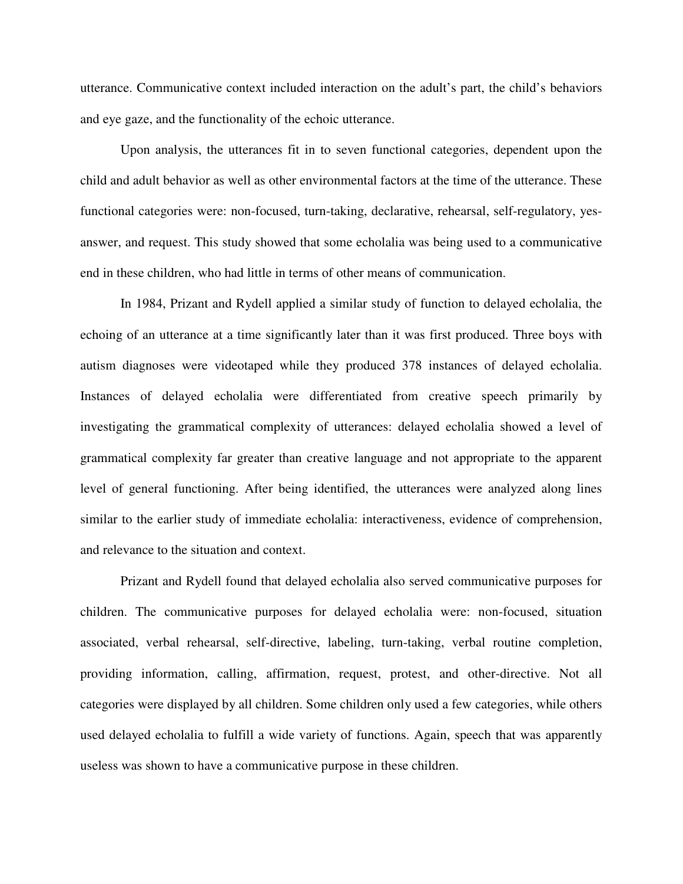utterance. Communicative context included interaction on the adult's part, the child's behaviors and eye gaze, and the functionality of the echoic utterance.

 Upon analysis, the utterances fit in to seven functional categories, dependent upon the child and adult behavior as well as other environmental factors at the time of the utterance. These functional categories were: non-focused, turn-taking, declarative, rehearsal, self-regulatory, yesanswer, and request. This study showed that some echolalia was being used to a communicative end in these children, who had little in terms of other means of communication.

 In 1984, Prizant and Rydell applied a similar study of function to delayed echolalia, the echoing of an utterance at a time significantly later than it was first produced. Three boys with autism diagnoses were videotaped while they produced 378 instances of delayed echolalia. Instances of delayed echolalia were differentiated from creative speech primarily by investigating the grammatical complexity of utterances: delayed echolalia showed a level of grammatical complexity far greater than creative language and not appropriate to the apparent level of general functioning. After being identified, the utterances were analyzed along lines similar to the earlier study of immediate echolalia: interactiveness, evidence of comprehension, and relevance to the situation and context.

 Prizant and Rydell found that delayed echolalia also served communicative purposes for children. The communicative purposes for delayed echolalia were: non-focused, situation associated, verbal rehearsal, self-directive, labeling, turn-taking, verbal routine completion, providing information, calling, affirmation, request, protest, and other-directive. Not all categories were displayed by all children. Some children only used a few categories, while others used delayed echolalia to fulfill a wide variety of functions. Again, speech that was apparently useless was shown to have a communicative purpose in these children.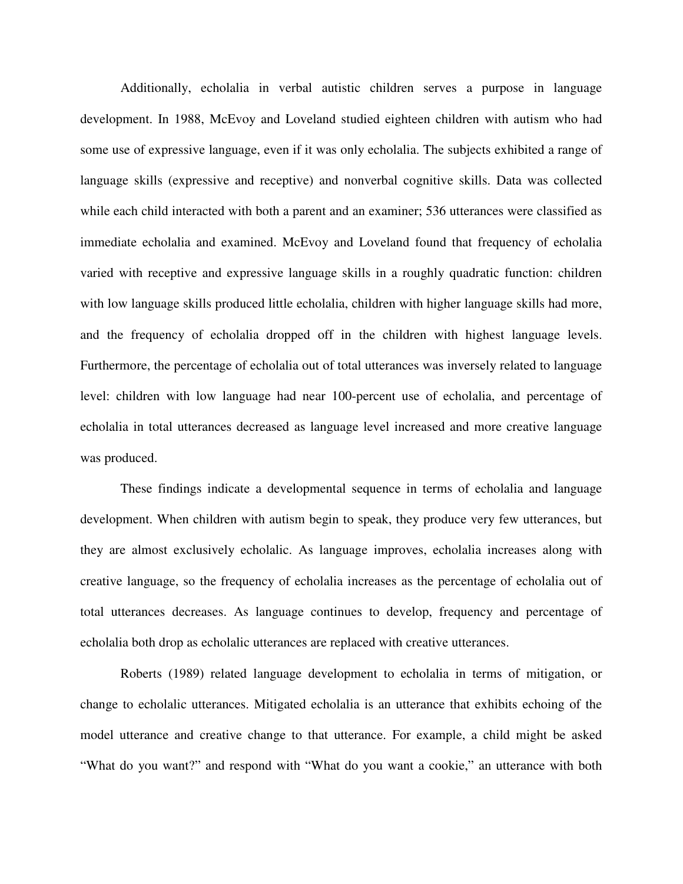Additionally, echolalia in verbal autistic children serves a purpose in language development. In 1988, McEvoy and Loveland studied eighteen children with autism who had some use of expressive language, even if it was only echolalia. The subjects exhibited a range of language skills (expressive and receptive) and nonverbal cognitive skills. Data was collected while each child interacted with both a parent and an examiner; 536 utterances were classified as immediate echolalia and examined. McEvoy and Loveland found that frequency of echolalia varied with receptive and expressive language skills in a roughly quadratic function: children with low language skills produced little echolalia, children with higher language skills had more, and the frequency of echolalia dropped off in the children with highest language levels. Furthermore, the percentage of echolalia out of total utterances was inversely related to language level: children with low language had near 100-percent use of echolalia, and percentage of echolalia in total utterances decreased as language level increased and more creative language was produced.

 These findings indicate a developmental sequence in terms of echolalia and language development. When children with autism begin to speak, they produce very few utterances, but they are almost exclusively echolalic. As language improves, echolalia increases along with creative language, so the frequency of echolalia increases as the percentage of echolalia out of total utterances decreases. As language continues to develop, frequency and percentage of echolalia both drop as echolalic utterances are replaced with creative utterances.

 Roberts (1989) related language development to echolalia in terms of mitigation, or change to echolalic utterances. Mitigated echolalia is an utterance that exhibits echoing of the model utterance and creative change to that utterance. For example, a child might be asked "What do you want?" and respond with "What do you want a cookie," an utterance with both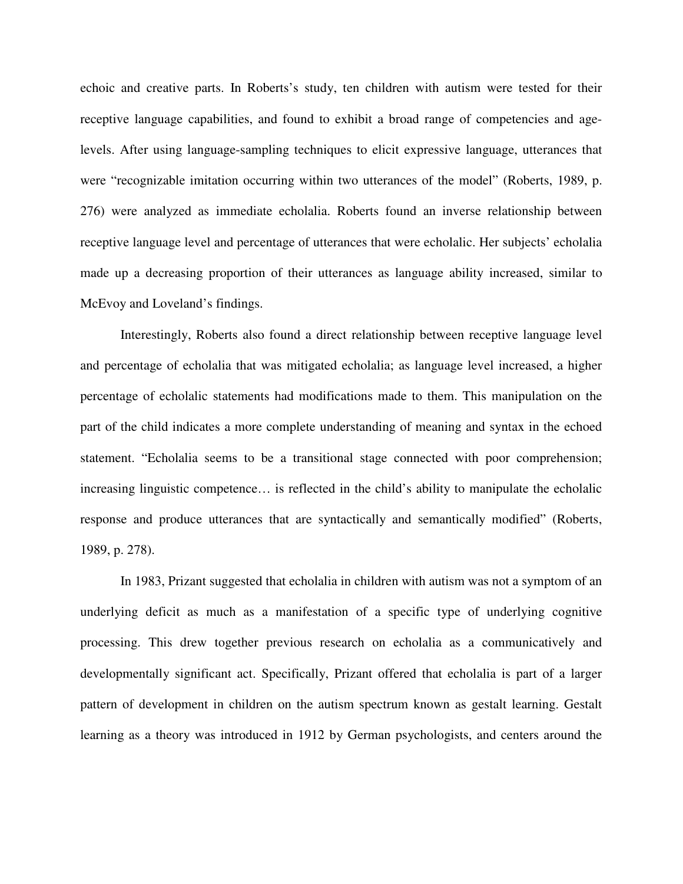echoic and creative parts. In Roberts's study, ten children with autism were tested for their receptive language capabilities, and found to exhibit a broad range of competencies and agelevels. After using language-sampling techniques to elicit expressive language, utterances that were "recognizable imitation occurring within two utterances of the model" (Roberts, 1989, p. 276) were analyzed as immediate echolalia. Roberts found an inverse relationship between receptive language level and percentage of utterances that were echolalic. Her subjects' echolalia made up a decreasing proportion of their utterances as language ability increased, similar to McEvoy and Loveland's findings.

 Interestingly, Roberts also found a direct relationship between receptive language level and percentage of echolalia that was mitigated echolalia; as language level increased, a higher percentage of echolalic statements had modifications made to them. This manipulation on the part of the child indicates a more complete understanding of meaning and syntax in the echoed statement. "Echolalia seems to be a transitional stage connected with poor comprehension; increasing linguistic competence… is reflected in the child's ability to manipulate the echolalic response and produce utterances that are syntactically and semantically modified" (Roberts, 1989, p. 278).

 In 1983, Prizant suggested that echolalia in children with autism was not a symptom of an underlying deficit as much as a manifestation of a specific type of underlying cognitive processing. This drew together previous research on echolalia as a communicatively and developmentally significant act. Specifically, Prizant offered that echolalia is part of a larger pattern of development in children on the autism spectrum known as gestalt learning. Gestalt learning as a theory was introduced in 1912 by German psychologists, and centers around the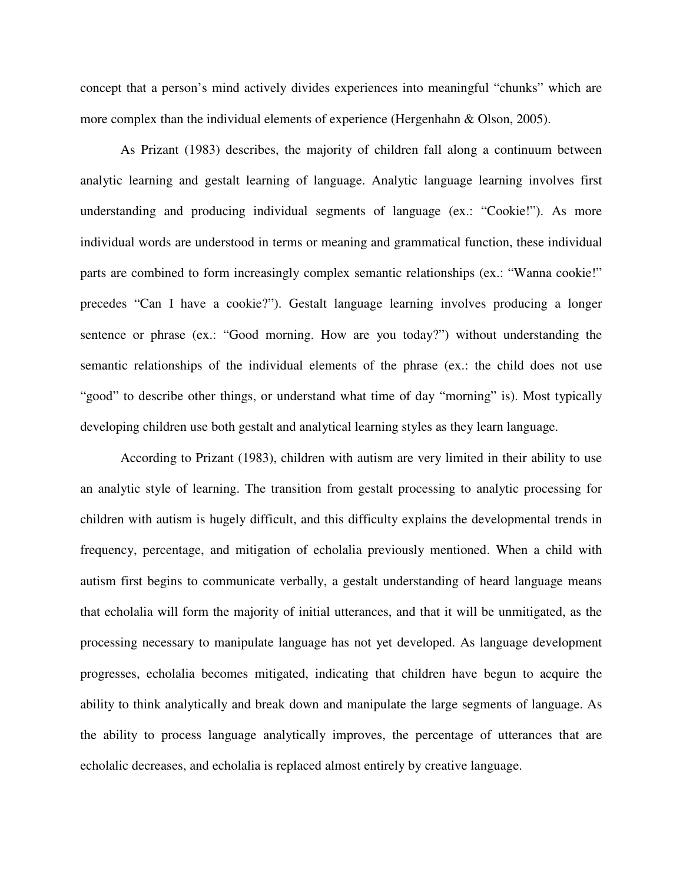concept that a person's mind actively divides experiences into meaningful "chunks" which are more complex than the individual elements of experience (Hergenhahn & Olson, 2005).

 As Prizant (1983) describes, the majority of children fall along a continuum between analytic learning and gestalt learning of language. Analytic language learning involves first understanding and producing individual segments of language (ex.: "Cookie!"). As more individual words are understood in terms or meaning and grammatical function, these individual parts are combined to form increasingly complex semantic relationships (ex.: "Wanna cookie!" precedes "Can I have a cookie?"). Gestalt language learning involves producing a longer sentence or phrase (ex.: "Good morning. How are you today?") without understanding the semantic relationships of the individual elements of the phrase (ex.: the child does not use "good" to describe other things, or understand what time of day "morning" is). Most typically developing children use both gestalt and analytical learning styles as they learn language.

 According to Prizant (1983), children with autism are very limited in their ability to use an analytic style of learning. The transition from gestalt processing to analytic processing for children with autism is hugely difficult, and this difficulty explains the developmental trends in frequency, percentage, and mitigation of echolalia previously mentioned. When a child with autism first begins to communicate verbally, a gestalt understanding of heard language means that echolalia will form the majority of initial utterances, and that it will be unmitigated, as the processing necessary to manipulate language has not yet developed. As language development progresses, echolalia becomes mitigated, indicating that children have begun to acquire the ability to think analytically and break down and manipulate the large segments of language. As the ability to process language analytically improves, the percentage of utterances that are echolalic decreases, and echolalia is replaced almost entirely by creative language.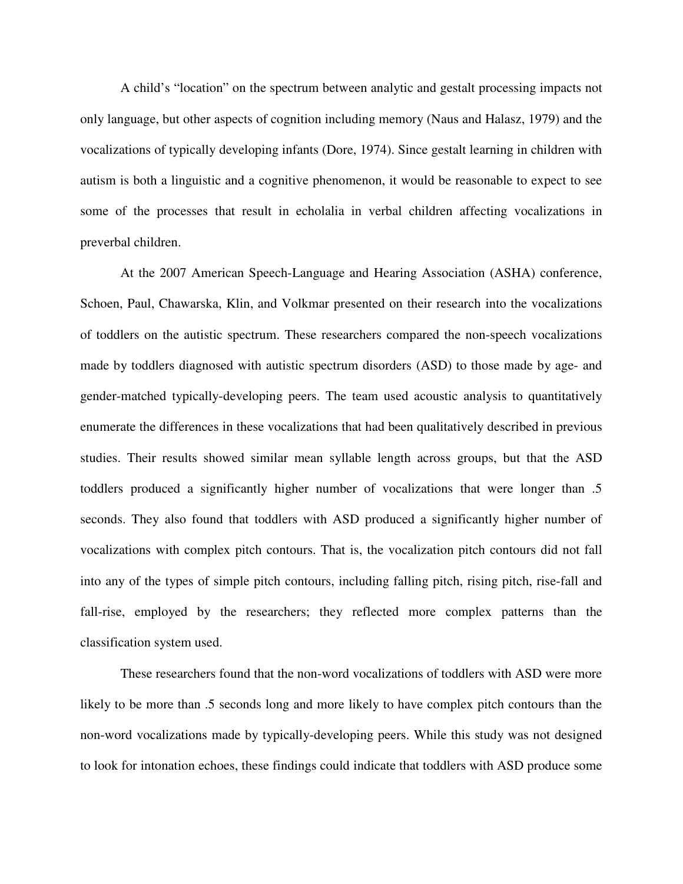A child's "location" on the spectrum between analytic and gestalt processing impacts not only language, but other aspects of cognition including memory (Naus and Halasz, 1979) and the vocalizations of typically developing infants (Dore, 1974). Since gestalt learning in children with autism is both a linguistic and a cognitive phenomenon, it would be reasonable to expect to see some of the processes that result in echolalia in verbal children affecting vocalizations in preverbal children.

 At the 2007 American Speech-Language and Hearing Association (ASHA) conference, Schoen, Paul, Chawarska, Klin, and Volkmar presented on their research into the vocalizations of toddlers on the autistic spectrum. These researchers compared the non-speech vocalizations made by toddlers diagnosed with autistic spectrum disorders (ASD) to those made by age- and gender-matched typically-developing peers. The team used acoustic analysis to quantitatively enumerate the differences in these vocalizations that had been qualitatively described in previous studies. Their results showed similar mean syllable length across groups, but that the ASD toddlers produced a significantly higher number of vocalizations that were longer than .5 seconds. They also found that toddlers with ASD produced a significantly higher number of vocalizations with complex pitch contours. That is, the vocalization pitch contours did not fall into any of the types of simple pitch contours, including falling pitch, rising pitch, rise-fall and fall-rise, employed by the researchers; they reflected more complex patterns than the classification system used.

 These researchers found that the non-word vocalizations of toddlers with ASD were more likely to be more than .5 seconds long and more likely to have complex pitch contours than the non-word vocalizations made by typically-developing peers. While this study was not designed to look for intonation echoes, these findings could indicate that toddlers with ASD produce some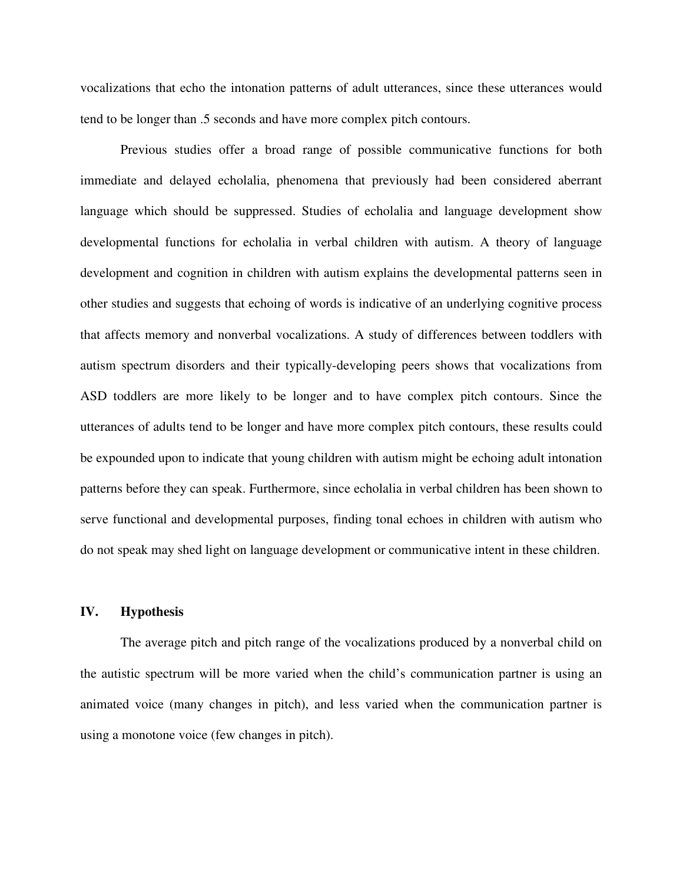vocalizations that echo the intonation patterns of adult utterances, since these utterances would tend to be longer than .5 seconds and have more complex pitch contours.

 Previous studies offer a broad range of possible communicative functions for both immediate and delayed echolalia, phenomena that previously had been considered aberrant language which should be suppressed. Studies of echolalia and language development show developmental functions for echolalia in verbal children with autism. A theory of language development and cognition in children with autism explains the developmental patterns seen in other studies and suggests that echoing of words is indicative of an underlying cognitive process that affects memory and nonverbal vocalizations. A study of differences between toddlers with autism spectrum disorders and their typically-developing peers shows that vocalizations from ASD toddlers are more likely to be longer and to have complex pitch contours. Since the utterances of adults tend to be longer and have more complex pitch contours, these results could be expounded upon to indicate that young children with autism might be echoing adult intonation patterns before they can speak. Furthermore, since echolalia in verbal children has been shown to serve functional and developmental purposes, finding tonal echoes in children with autism who do not speak may shed light on language development or communicative intent in these children.

## **IV. Hypothesis**

 The average pitch and pitch range of the vocalizations produced by a nonverbal child on the autistic spectrum will be more varied when the child's communication partner is using an animated voice (many changes in pitch), and less varied when the communication partner is using a monotone voice (few changes in pitch).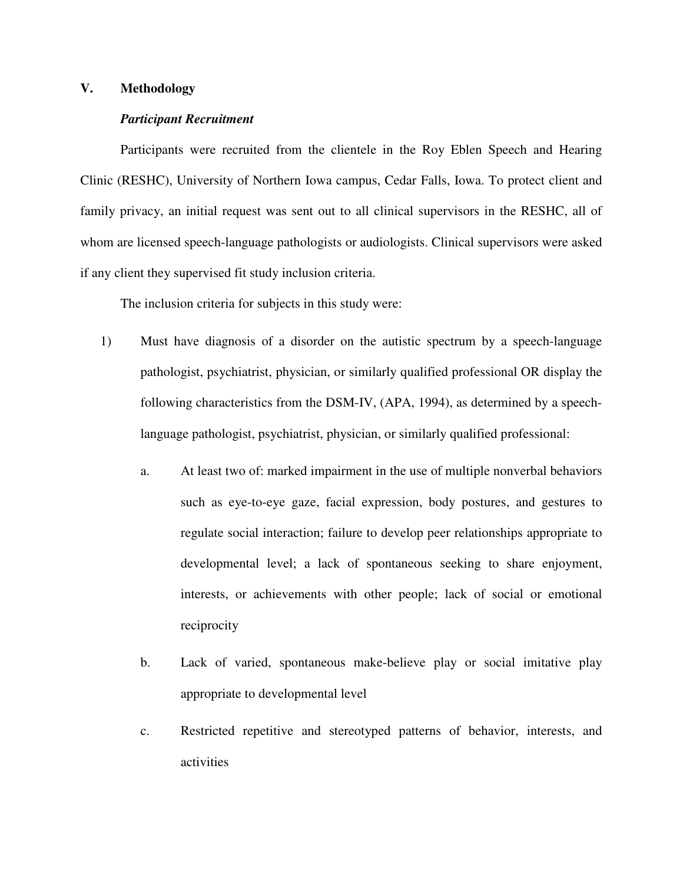# **V. Methodology**

## *Participant Recruitment*

 Participants were recruited from the clientele in the Roy Eblen Speech and Hearing Clinic (RESHC), University of Northern Iowa campus, Cedar Falls, Iowa. To protect client and family privacy, an initial request was sent out to all clinical supervisors in the RESHC, all of whom are licensed speech-language pathologists or audiologists. Clinical supervisors were asked if any client they supervised fit study inclusion criteria.

The inclusion criteria for subjects in this study were:

- 1) Must have diagnosis of a disorder on the autistic spectrum by a speech-language pathologist, psychiatrist, physician, or similarly qualified professional OR display the following characteristics from the DSM-IV, (APA, 1994), as determined by a speechlanguage pathologist, psychiatrist, physician, or similarly qualified professional:
	- a. At least two of: marked impairment in the use of multiple nonverbal behaviors such as eye-to-eye gaze, facial expression, body postures, and gestures to regulate social interaction; failure to develop peer relationships appropriate to developmental level; a lack of spontaneous seeking to share enjoyment, interests, or achievements with other people; lack of social or emotional reciprocity
	- b. Lack of varied, spontaneous make-believe play or social imitative play appropriate to developmental level
	- c. Restricted repetitive and stereotyped patterns of behavior, interests, and activities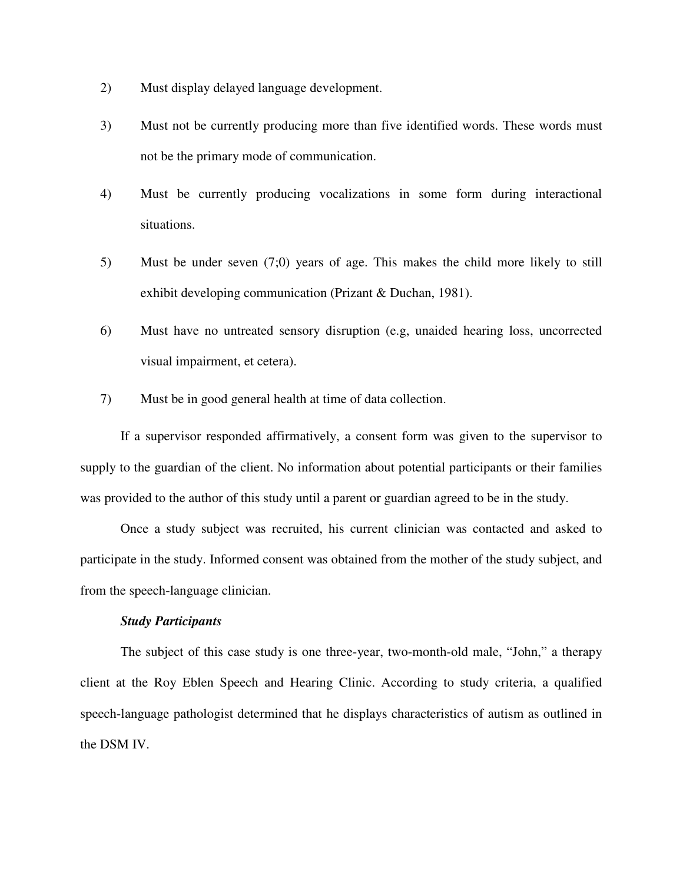- 2) Must display delayed language development.
- 3) Must not be currently producing more than five identified words. These words must not be the primary mode of communication.
- 4) Must be currently producing vocalizations in some form during interactional situations.
- 5) Must be under seven (7;0) years of age. This makes the child more likely to still exhibit developing communication (Prizant & Duchan, 1981).
- 6) Must have no untreated sensory disruption (e.g, unaided hearing loss, uncorrected visual impairment, et cetera).
- 7) Must be in good general health at time of data collection.

 If a supervisor responded affirmatively, a consent form was given to the supervisor to supply to the guardian of the client. No information about potential participants or their families was provided to the author of this study until a parent or guardian agreed to be in the study.

 Once a study subject was recruited, his current clinician was contacted and asked to participate in the study. Informed consent was obtained from the mother of the study subject, and from the speech-language clinician.

# *Study Participants*

 The subject of this case study is one three-year, two-month-old male, "John," a therapy client at the Roy Eblen Speech and Hearing Clinic. According to study criteria, a qualified speech-language pathologist determined that he displays characteristics of autism as outlined in the DSM IV.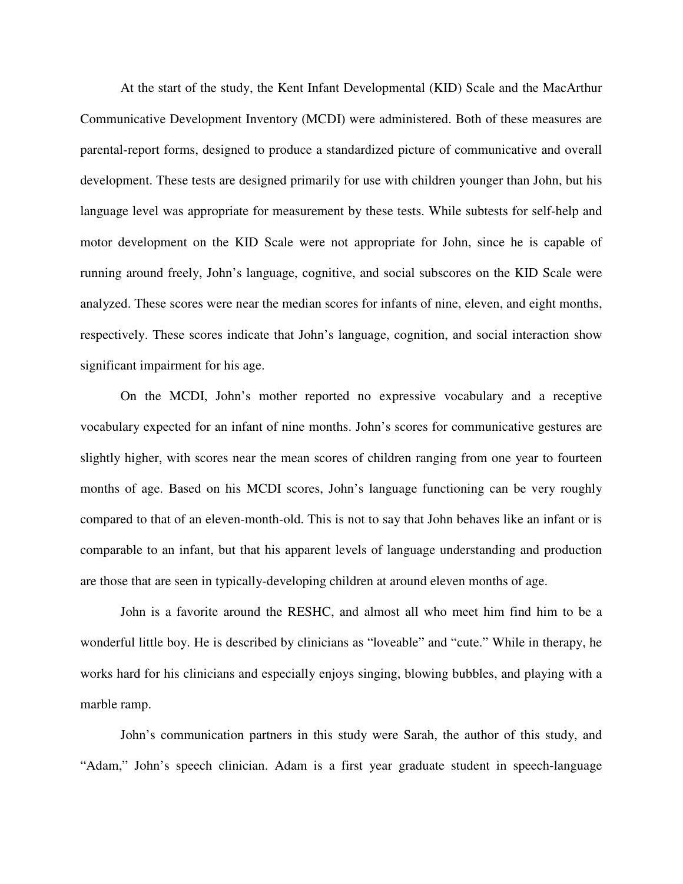At the start of the study, the Kent Infant Developmental (KID) Scale and the MacArthur Communicative Development Inventory (MCDI) were administered. Both of these measures are parental-report forms, designed to produce a standardized picture of communicative and overall development. These tests are designed primarily for use with children younger than John, but his language level was appropriate for measurement by these tests. While subtests for self-help and motor development on the KID Scale were not appropriate for John, since he is capable of running around freely, John's language, cognitive, and social subscores on the KID Scale were analyzed. These scores were near the median scores for infants of nine, eleven, and eight months, respectively. These scores indicate that John's language, cognition, and social interaction show significant impairment for his age.

On the MCDI, John's mother reported no expressive vocabulary and a receptive vocabulary expected for an infant of nine months. John's scores for communicative gestures are slightly higher, with scores near the mean scores of children ranging from one year to fourteen months of age. Based on his MCDI scores, John's language functioning can be very roughly compared to that of an eleven-month-old. This is not to say that John behaves like an infant or is comparable to an infant, but that his apparent levels of language understanding and production are those that are seen in typically-developing children at around eleven months of age.

 John is a favorite around the RESHC, and almost all who meet him find him to be a wonderful little boy. He is described by clinicians as "loveable" and "cute." While in therapy, he works hard for his clinicians and especially enjoys singing, blowing bubbles, and playing with a marble ramp.

 John's communication partners in this study were Sarah, the author of this study, and "Adam," John's speech clinician. Adam is a first year graduate student in speech-language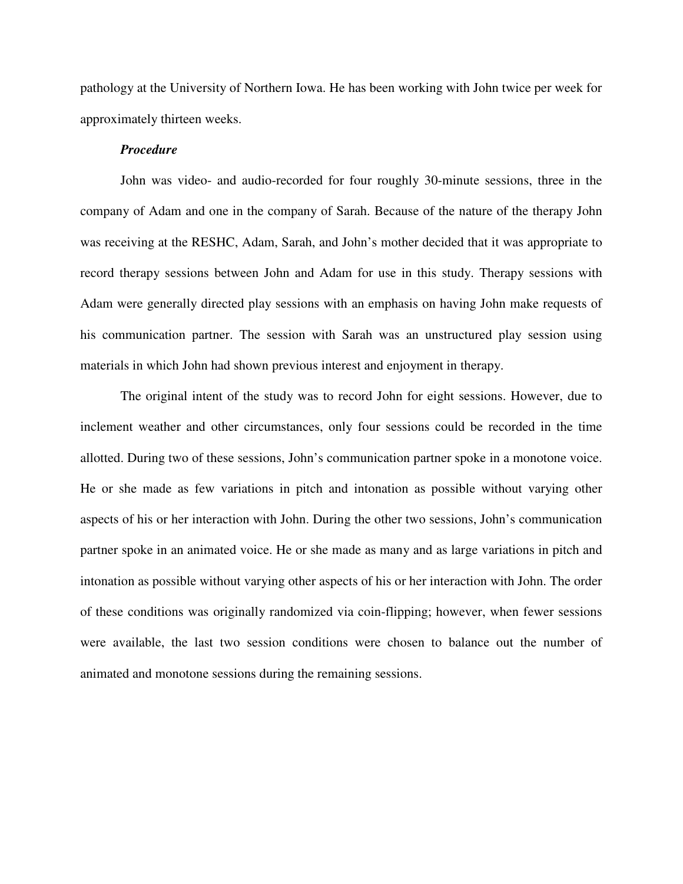pathology at the University of Northern Iowa. He has been working with John twice per week for approximately thirteen weeks.

## *Procedure*

 John was video- and audio-recorded for four roughly 30-minute sessions, three in the company of Adam and one in the company of Sarah. Because of the nature of the therapy John was receiving at the RESHC, Adam, Sarah, and John's mother decided that it was appropriate to record therapy sessions between John and Adam for use in this study. Therapy sessions with Adam were generally directed play sessions with an emphasis on having John make requests of his communication partner. The session with Sarah was an unstructured play session using materials in which John had shown previous interest and enjoyment in therapy.

 The original intent of the study was to record John for eight sessions. However, due to inclement weather and other circumstances, only four sessions could be recorded in the time allotted. During two of these sessions, John's communication partner spoke in a monotone voice. He or she made as few variations in pitch and intonation as possible without varying other aspects of his or her interaction with John. During the other two sessions, John's communication partner spoke in an animated voice. He or she made as many and as large variations in pitch and intonation as possible without varying other aspects of his or her interaction with John. The order of these conditions was originally randomized via coin-flipping; however, when fewer sessions were available, the last two session conditions were chosen to balance out the number of animated and monotone sessions during the remaining sessions.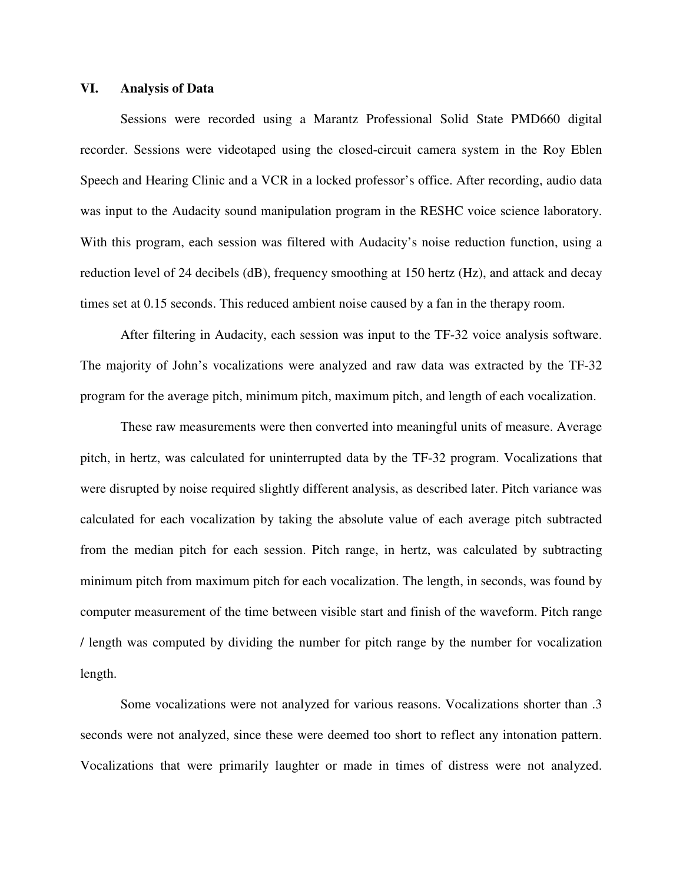## **VI. Analysis of Data**

 Sessions were recorded using a Marantz Professional Solid State PMD660 digital recorder. Sessions were videotaped using the closed-circuit camera system in the Roy Eblen Speech and Hearing Clinic and a VCR in a locked professor's office. After recording, audio data was input to the Audacity sound manipulation program in the RESHC voice science laboratory. With this program, each session was filtered with Audacity's noise reduction function, using a reduction level of 24 decibels (dB), frequency smoothing at 150 hertz (Hz), and attack and decay times set at 0.15 seconds. This reduced ambient noise caused by a fan in the therapy room.

 After filtering in Audacity, each session was input to the TF-32 voice analysis software. The majority of John's vocalizations were analyzed and raw data was extracted by the TF-32 program for the average pitch, minimum pitch, maximum pitch, and length of each vocalization.

 These raw measurements were then converted into meaningful units of measure. Average pitch, in hertz, was calculated for uninterrupted data by the TF-32 program. Vocalizations that were disrupted by noise required slightly different analysis, as described later. Pitch variance was calculated for each vocalization by taking the absolute value of each average pitch subtracted from the median pitch for each session. Pitch range, in hertz, was calculated by subtracting minimum pitch from maximum pitch for each vocalization. The length, in seconds, was found by computer measurement of the time between visible start and finish of the waveform. Pitch range / length was computed by dividing the number for pitch range by the number for vocalization length.

Some vocalizations were not analyzed for various reasons. Vocalizations shorter than .3 seconds were not analyzed, since these were deemed too short to reflect any intonation pattern. Vocalizations that were primarily laughter or made in times of distress were not analyzed.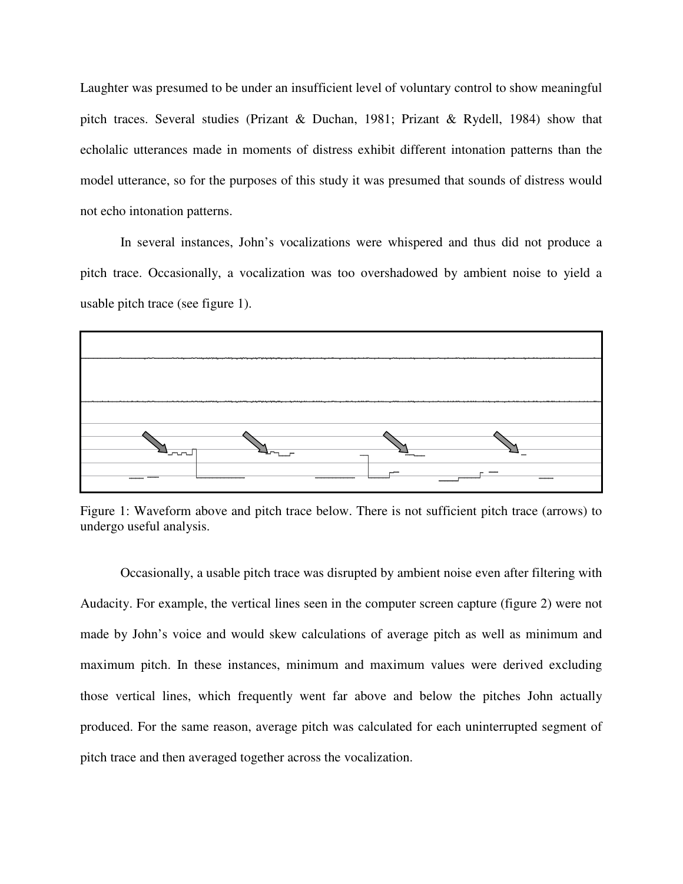Laughter was presumed to be under an insufficient level of voluntary control to show meaningful pitch traces. Several studies (Prizant & Duchan, 1981; Prizant & Rydell, 1984) show that echolalic utterances made in moments of distress exhibit different intonation patterns than the model utterance, so for the purposes of this study it was presumed that sounds of distress would not echo intonation patterns.

In several instances, John's vocalizations were whispered and thus did not produce a pitch trace. Occasionally, a vocalization was too overshadowed by ambient noise to yield a usable pitch trace (see figure 1).



Figure 1: Waveform above and pitch trace below. There is not sufficient pitch trace (arrows) to undergo useful analysis.

 Occasionally, a usable pitch trace was disrupted by ambient noise even after filtering with Audacity. For example, the vertical lines seen in the computer screen capture (figure 2) were not made by John's voice and would skew calculations of average pitch as well as minimum and maximum pitch. In these instances, minimum and maximum values were derived excluding those vertical lines, which frequently went far above and below the pitches John actually produced. For the same reason, average pitch was calculated for each uninterrupted segment of pitch trace and then averaged together across the vocalization.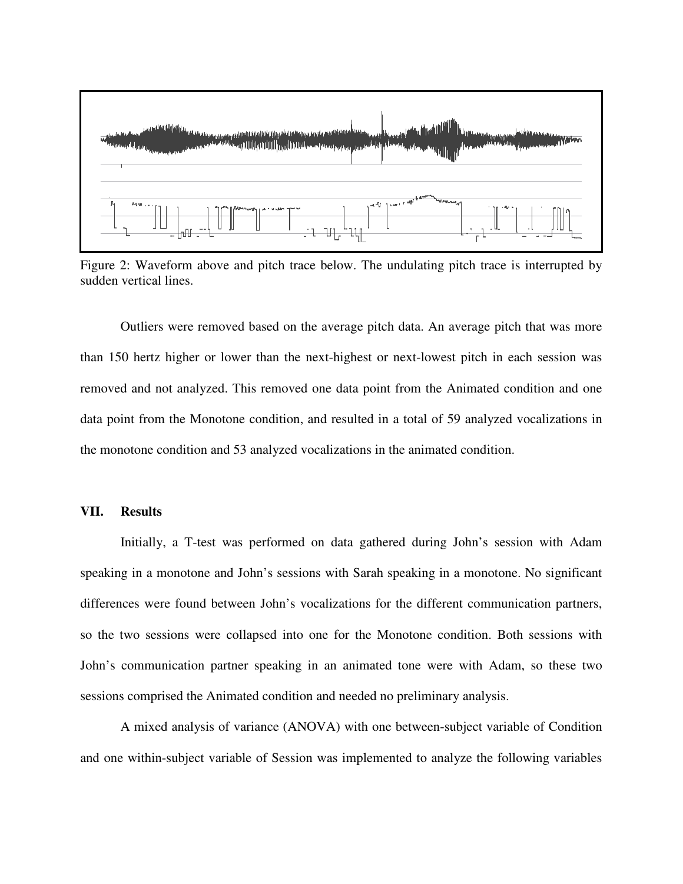

Figure 2: Waveform above and pitch trace below. The undulating pitch trace is interrupted by sudden vertical lines.

 Outliers were removed based on the average pitch data. An average pitch that was more than 150 hertz higher or lower than the next-highest or next-lowest pitch in each session was removed and not analyzed. This removed one data point from the Animated condition and one data point from the Monotone condition, and resulted in a total of 59 analyzed vocalizations in the monotone condition and 53 analyzed vocalizations in the animated condition.

# **VII. Results**

Initially, a T-test was performed on data gathered during John's session with Adam speaking in a monotone and John's sessions with Sarah speaking in a monotone. No significant differences were found between John's vocalizations for the different communication partners, so the two sessions were collapsed into one for the Monotone condition. Both sessions with John's communication partner speaking in an animated tone were with Adam, so these two sessions comprised the Animated condition and needed no preliminary analysis.

 A mixed analysis of variance (ANOVA) with one between-subject variable of Condition and one within-subject variable of Session was implemented to analyze the following variables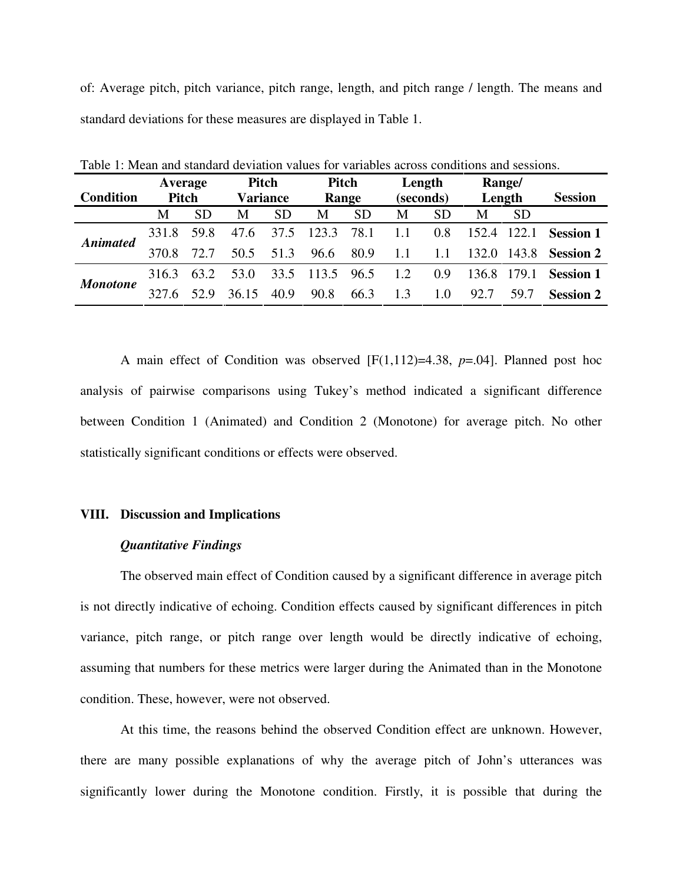of: Average pitch, pitch variance, pitch range, length, and pitch range / length. The means and standard deviations for these measures are displayed in Table 1.

|                  | Average |           | Pitch           |           | Pitch           |           | Length    |           | Range/      |           |                        |
|------------------|---------|-----------|-----------------|-----------|-----------------|-----------|-----------|-----------|-------------|-----------|------------------------|
| <b>Condition</b> | Pitch   |           | <b>Variance</b> |           | Range           |           | (seconds) |           | Length      |           | <b>Session</b>         |
|                  | M       | <b>SD</b> | M               | <b>SD</b> | M               | <b>SD</b> | M         | <b>SD</b> | M           | <b>SD</b> |                        |
| <b>Animated</b>  | 331.8   | 59.8      | 47.6            | 37.5      | 123.3           | 78.1      | 1.1       | 0.8       | 152.4 122.1 |           | <b>Session 1</b>       |
|                  | 370.8   | 72.7      | 50.5            | 51.3      | 96.6            | 80.9      | -1.1      | 1.1       | 132.0       |           | 143.8 <b>Session 2</b> |
| <b>Monotone</b>  | 316.3   | 63.2      | 53.0            |           | 33.5 113.5 96.5 |           | 1.2       | 0.9       | 136.8 179.1 |           | <b>Session 1</b>       |
|                  | 327.6   | 52.9      | 36.15           | 40.9      | 90.8            | 66.3      | 1.3       | 1.0       | 92.7        | 59.7      | <b>Session 2</b>       |

Table 1: Mean and standard deviation values for variables across conditions and sessions.

 A main effect of Condition was observed [F(1,112)=4.38, *p*=.04]. Planned post hoc analysis of pairwise comparisons using Tukey's method indicated a significant difference between Condition 1 (Animated) and Condition 2 (Monotone) for average pitch. No other statistically significant conditions or effects were observed.

## **VIII. Discussion and Implications**

#### *Quantitative Findings*

 The observed main effect of Condition caused by a significant difference in average pitch is not directly indicative of echoing. Condition effects caused by significant differences in pitch variance, pitch range, or pitch range over length would be directly indicative of echoing, assuming that numbers for these metrics were larger during the Animated than in the Monotone condition. These, however, were not observed.

 At this time, the reasons behind the observed Condition effect are unknown. However, there are many possible explanations of why the average pitch of John's utterances was significantly lower during the Monotone condition. Firstly, it is possible that during the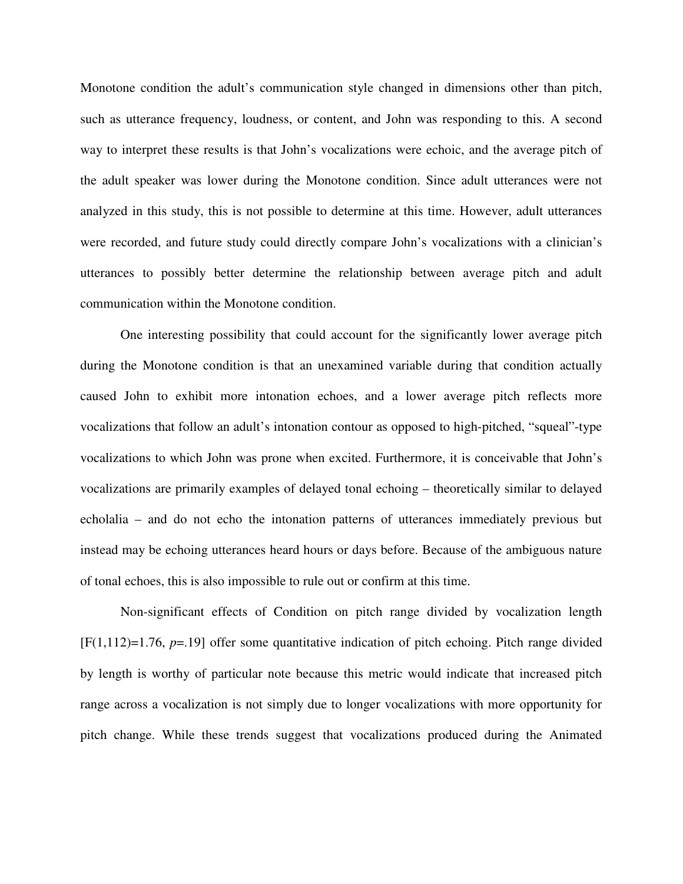Monotone condition the adult's communication style changed in dimensions other than pitch, such as utterance frequency, loudness, or content, and John was responding to this. A second way to interpret these results is that John's vocalizations were echoic, and the average pitch of the adult speaker was lower during the Monotone condition. Since adult utterances were not analyzed in this study, this is not possible to determine at this time. However, adult utterances were recorded, and future study could directly compare John's vocalizations with a clinician's utterances to possibly better determine the relationship between average pitch and adult communication within the Monotone condition.

 One interesting possibility that could account for the significantly lower average pitch during the Monotone condition is that an unexamined variable during that condition actually caused John to exhibit more intonation echoes, and a lower average pitch reflects more vocalizations that follow an adult's intonation contour as opposed to high-pitched, "squeal"-type vocalizations to which John was prone when excited. Furthermore, it is conceivable that John's vocalizations are primarily examples of delayed tonal echoing – theoretically similar to delayed echolalia – and do not echo the intonation patterns of utterances immediately previous but instead may be echoing utterances heard hours or days before. Because of the ambiguous nature of tonal echoes, this is also impossible to rule out or confirm at this time.

 Non-significant effects of Condition on pitch range divided by vocalization length [F(1,112)=1.76, *p*=.19] offer some quantitative indication of pitch echoing. Pitch range divided by length is worthy of particular note because this metric would indicate that increased pitch range across a vocalization is not simply due to longer vocalizations with more opportunity for pitch change. While these trends suggest that vocalizations produced during the Animated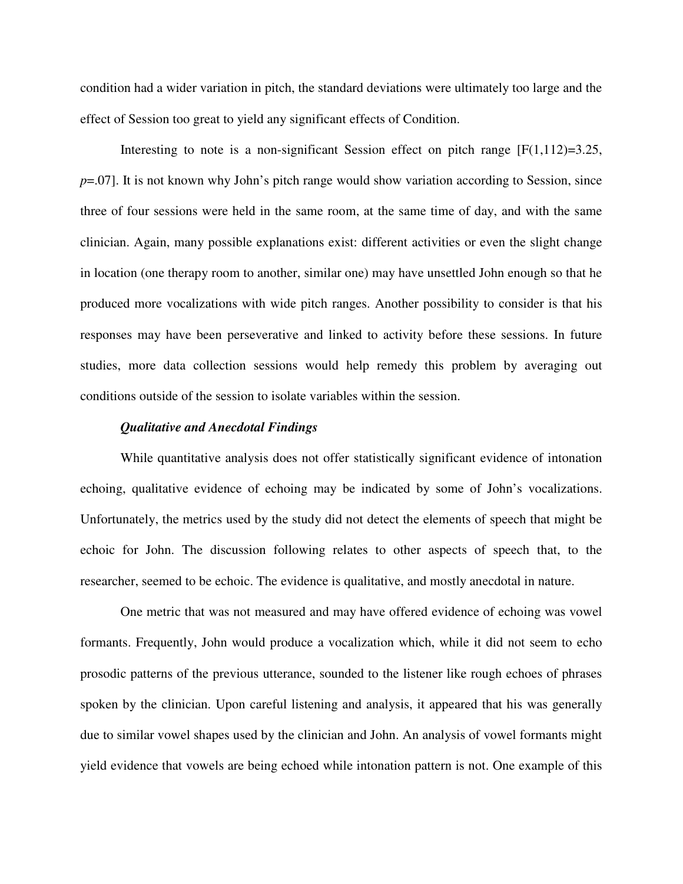condition had a wider variation in pitch, the standard deviations were ultimately too large and the effect of Session too great to yield any significant effects of Condition.

Interesting to note is a non-significant Session effect on pitch range  $[F(1,112)=3.25]$ , *p*=.07]. It is not known why John's pitch range would show variation according to Session, since three of four sessions were held in the same room, at the same time of day, and with the same clinician. Again, many possible explanations exist: different activities or even the slight change in location (one therapy room to another, similar one) may have unsettled John enough so that he produced more vocalizations with wide pitch ranges. Another possibility to consider is that his responses may have been perseverative and linked to activity before these sessions. In future studies, more data collection sessions would help remedy this problem by averaging out conditions outside of the session to isolate variables within the session.

## *Qualitative and Anecdotal Findings*

 While quantitative analysis does not offer statistically significant evidence of intonation echoing, qualitative evidence of echoing may be indicated by some of John's vocalizations. Unfortunately, the metrics used by the study did not detect the elements of speech that might be echoic for John. The discussion following relates to other aspects of speech that, to the researcher, seemed to be echoic. The evidence is qualitative, and mostly anecdotal in nature.

 One metric that was not measured and may have offered evidence of echoing was vowel formants. Frequently, John would produce a vocalization which, while it did not seem to echo prosodic patterns of the previous utterance, sounded to the listener like rough echoes of phrases spoken by the clinician. Upon careful listening and analysis, it appeared that his was generally due to similar vowel shapes used by the clinician and John. An analysis of vowel formants might yield evidence that vowels are being echoed while intonation pattern is not. One example of this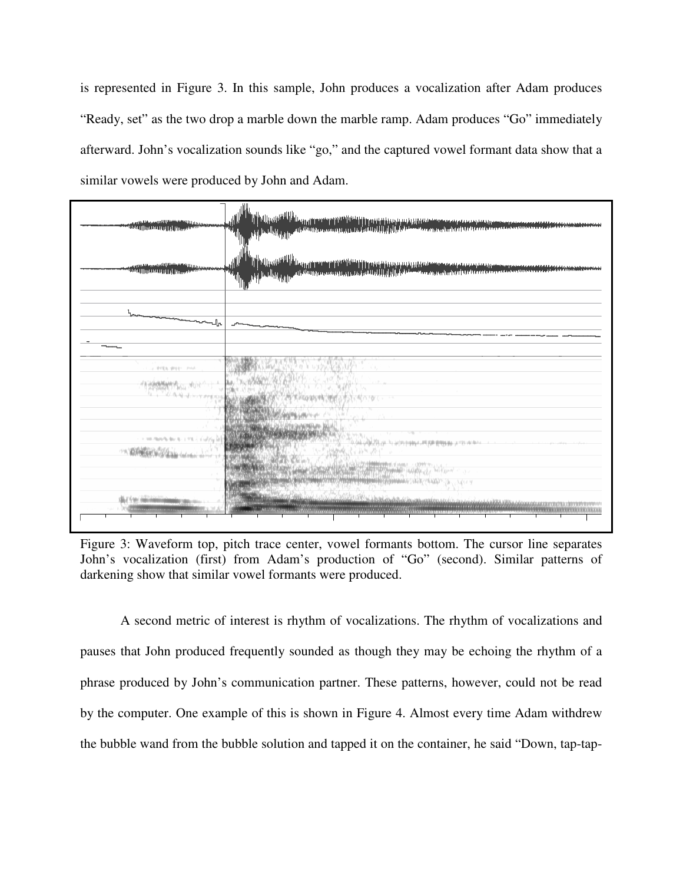is represented in Figure 3. In this sample, John produces a vocalization after Adam produces "Ready, set" as the two drop a marble down the marble ramp. Adam produces "Go" immediately afterward. John's vocalization sounds like "go," and the captured vowel formant data show that a similar vowels were produced by John and Adam.



Figure 3: Waveform top, pitch trace center, vowel formants bottom. The cursor line separates John's vocalization (first) from Adam's production of "Go" (second). Similar patterns of darkening show that similar vowel formants were produced.

 A second metric of interest is rhythm of vocalizations. The rhythm of vocalizations and pauses that John produced frequently sounded as though they may be echoing the rhythm of a phrase produced by John's communication partner. These patterns, however, could not be read by the computer. One example of this is shown in Figure 4. Almost every time Adam withdrew the bubble wand from the bubble solution and tapped it on the container, he said "Down, tap-tap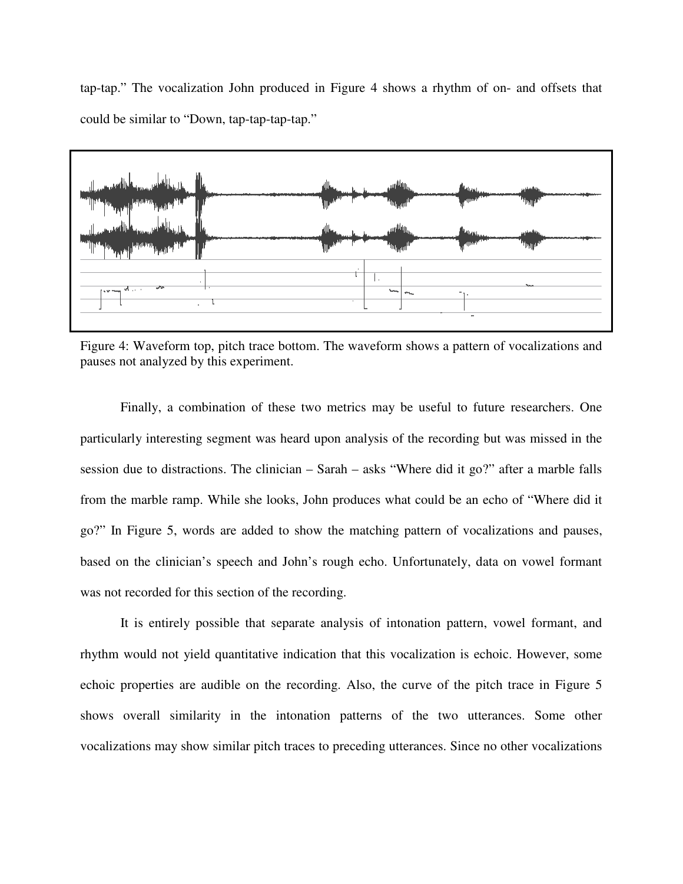tap-tap." The vocalization John produced in Figure 4 shows a rhythm of on- and offsets that could be similar to "Down, tap-tap-tap-tap."



Figure 4: Waveform top, pitch trace bottom. The waveform shows a pattern of vocalizations and pauses not analyzed by this experiment.

 Finally, a combination of these two metrics may be useful to future researchers. One particularly interesting segment was heard upon analysis of the recording but was missed in the session due to distractions. The clinician – Sarah – asks "Where did it go?" after a marble falls from the marble ramp. While she looks, John produces what could be an echo of "Where did it go?" In Figure 5, words are added to show the matching pattern of vocalizations and pauses, based on the clinician's speech and John's rough echo. Unfortunately, data on vowel formant was not recorded for this section of the recording.

 It is entirely possible that separate analysis of intonation pattern, vowel formant, and rhythm would not yield quantitative indication that this vocalization is echoic. However, some echoic properties are audible on the recording. Also, the curve of the pitch trace in Figure 5 shows overall similarity in the intonation patterns of the two utterances. Some other vocalizations may show similar pitch traces to preceding utterances. Since no other vocalizations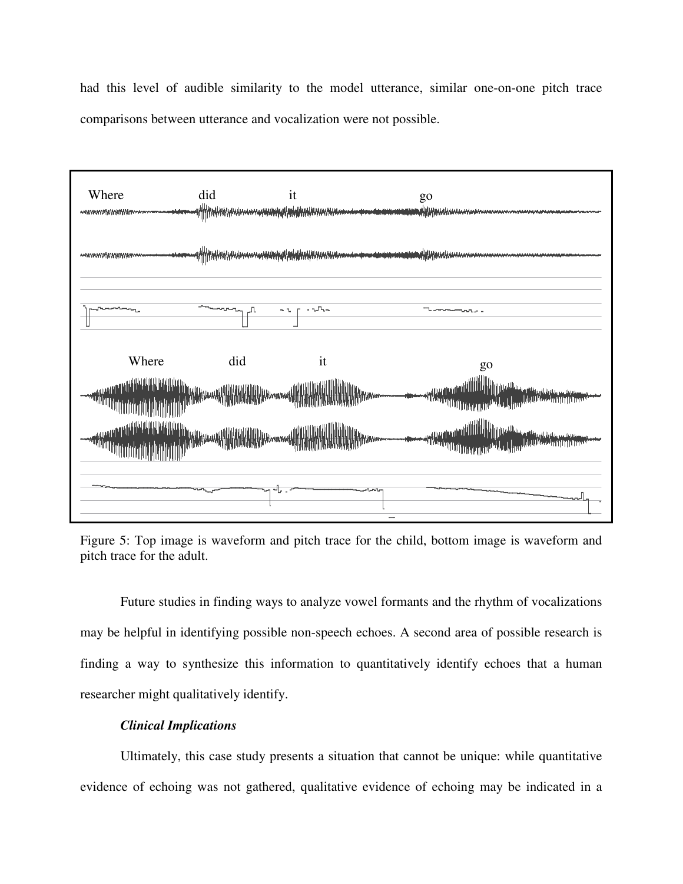had this level of audible similarity to the model utterance, similar one-on-one pitch trace comparisons between utterance and vocalization were not possible.



Figure 5: Top image is waveform and pitch trace for the child, bottom image is waveform and pitch trace for the adult.

 Future studies in finding ways to analyze vowel formants and the rhythm of vocalizations may be helpful in identifying possible non-speech echoes. A second area of possible research is finding a way to synthesize this information to quantitatively identify echoes that a human researcher might qualitatively identify.

# *Clinical Implications*

 Ultimately, this case study presents a situation that cannot be unique: while quantitative evidence of echoing was not gathered, qualitative evidence of echoing may be indicated in a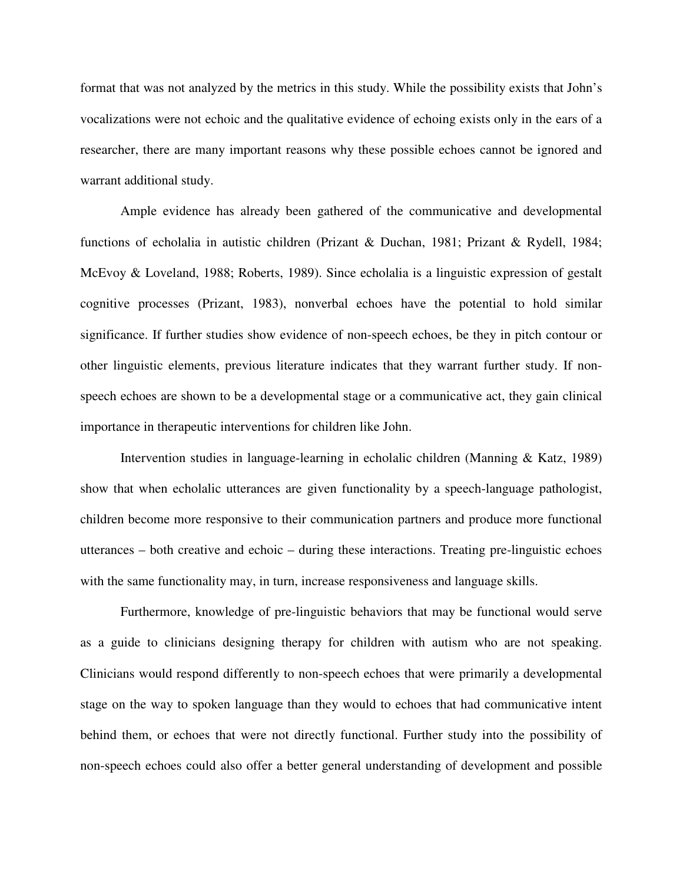format that was not analyzed by the metrics in this study. While the possibility exists that John's vocalizations were not echoic and the qualitative evidence of echoing exists only in the ears of a researcher, there are many important reasons why these possible echoes cannot be ignored and warrant additional study.

 Ample evidence has already been gathered of the communicative and developmental functions of echolalia in autistic children (Prizant & Duchan, 1981; Prizant & Rydell, 1984; McEvoy & Loveland, 1988; Roberts, 1989). Since echolalia is a linguistic expression of gestalt cognitive processes (Prizant, 1983), nonverbal echoes have the potential to hold similar significance. If further studies show evidence of non-speech echoes, be they in pitch contour or other linguistic elements, previous literature indicates that they warrant further study. If nonspeech echoes are shown to be a developmental stage or a communicative act, they gain clinical importance in therapeutic interventions for children like John.

Intervention studies in language-learning in echolalic children (Manning & Katz, 1989) show that when echolalic utterances are given functionality by a speech-language pathologist, children become more responsive to their communication partners and produce more functional utterances – both creative and echoic – during these interactions. Treating pre-linguistic echoes with the same functionality may, in turn, increase responsiveness and language skills.

Furthermore, knowledge of pre-linguistic behaviors that may be functional would serve as a guide to clinicians designing therapy for children with autism who are not speaking. Clinicians would respond differently to non-speech echoes that were primarily a developmental stage on the way to spoken language than they would to echoes that had communicative intent behind them, or echoes that were not directly functional. Further study into the possibility of non-speech echoes could also offer a better general understanding of development and possible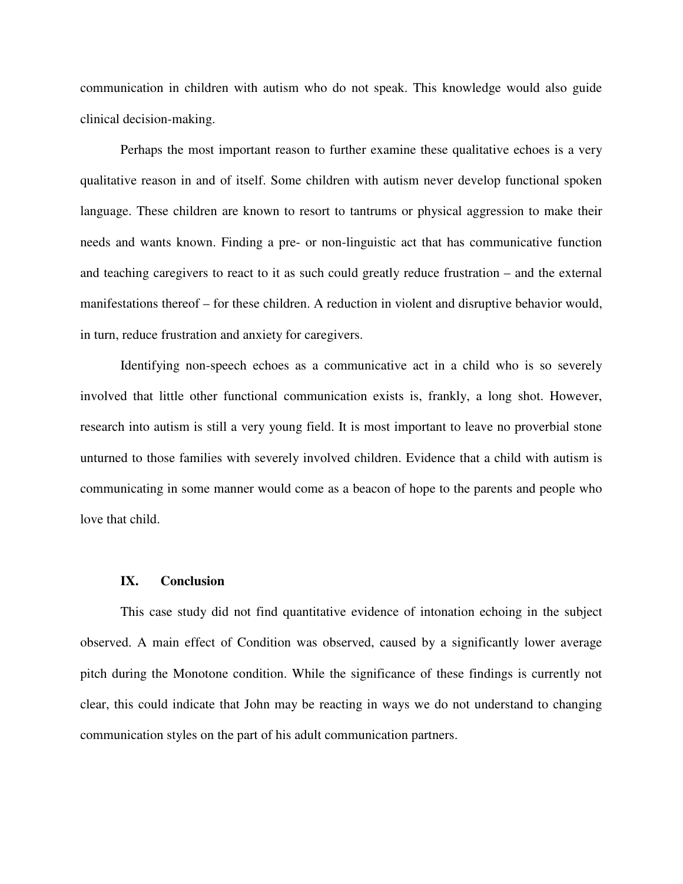communication in children with autism who do not speak. This knowledge would also guide clinical decision-making.

Perhaps the most important reason to further examine these qualitative echoes is a very qualitative reason in and of itself. Some children with autism never develop functional spoken language. These children are known to resort to tantrums or physical aggression to make their needs and wants known. Finding a pre- or non-linguistic act that has communicative function and teaching caregivers to react to it as such could greatly reduce frustration – and the external manifestations thereof – for these children. A reduction in violent and disruptive behavior would, in turn, reduce frustration and anxiety for caregivers.

Identifying non-speech echoes as a communicative act in a child who is so severely involved that little other functional communication exists is, frankly, a long shot. However, research into autism is still a very young field. It is most important to leave no proverbial stone unturned to those families with severely involved children. Evidence that a child with autism is communicating in some manner would come as a beacon of hope to the parents and people who love that child.

#### **IX. Conclusion**

This case study did not find quantitative evidence of intonation echoing in the subject observed. A main effect of Condition was observed, caused by a significantly lower average pitch during the Monotone condition. While the significance of these findings is currently not clear, this could indicate that John may be reacting in ways we do not understand to changing communication styles on the part of his adult communication partners.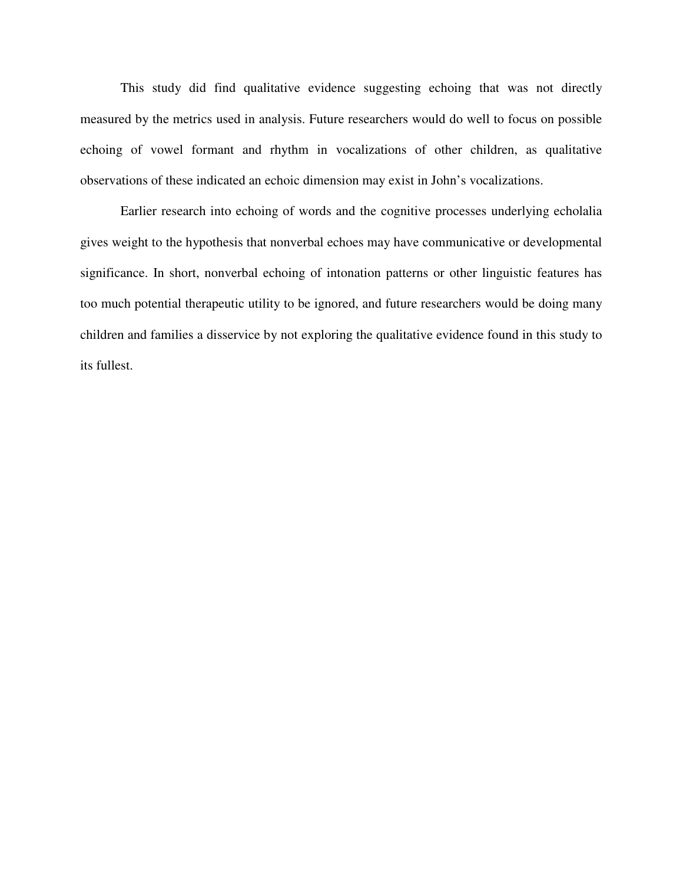This study did find qualitative evidence suggesting echoing that was not directly measured by the metrics used in analysis. Future researchers would do well to focus on possible echoing of vowel formant and rhythm in vocalizations of other children, as qualitative observations of these indicated an echoic dimension may exist in John's vocalizations.

 Earlier research into echoing of words and the cognitive processes underlying echolalia gives weight to the hypothesis that nonverbal echoes may have communicative or developmental significance. In short, nonverbal echoing of intonation patterns or other linguistic features has too much potential therapeutic utility to be ignored, and future researchers would be doing many children and families a disservice by not exploring the qualitative evidence found in this study to its fullest.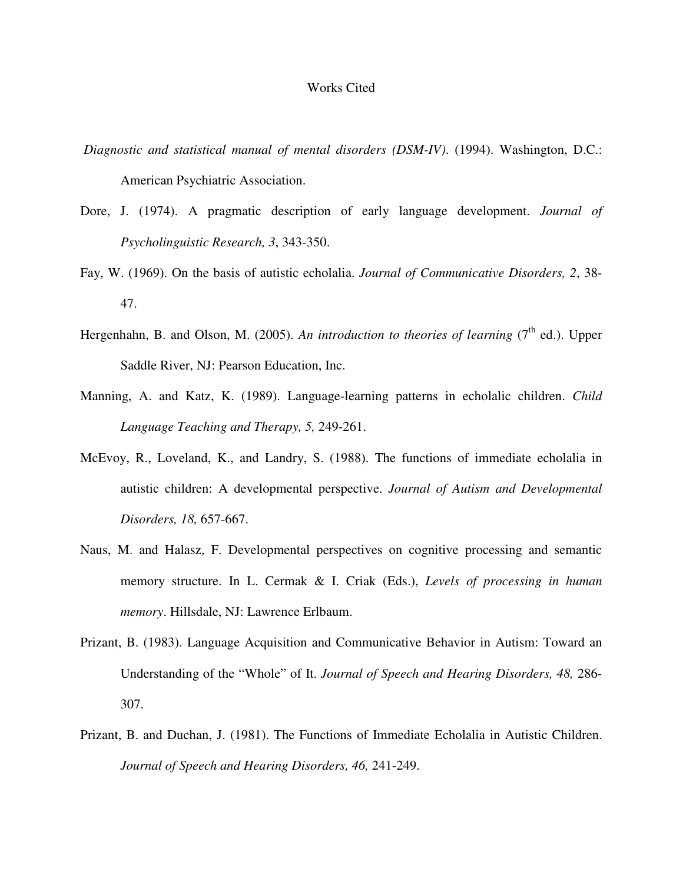### Works Cited

- *Diagnostic and statistical manual of mental disorders (DSM-IV)*. (1994). Washington, D.C.: American Psychiatric Association.
- Dore, J. (1974). A pragmatic description of early language development. *Journal of Psycholinguistic Research, 3*, 343-350.
- Fay, W. (1969). On the basis of autistic echolalia. *Journal of Communicative Disorders, 2*, 38- 47.
- Hergenhahn, B. and Olson, M. (2005). *An introduction to theories of learning* ( $7<sup>th</sup>$  ed.). Upper Saddle River, NJ: Pearson Education, Inc.
- Manning, A. and Katz, K. (1989). Language-learning patterns in echolalic children. *Child Language Teaching and Therapy, 5,* 249-261.
- McEvoy, R., Loveland, K., and Landry, S. (1988). The functions of immediate echolalia in autistic children: A developmental perspective. *Journal of Autism and Developmental Disorders, 18,* 657-667.
- Naus, M. and Halasz, F. Developmental perspectives on cognitive processing and semantic memory structure. In L. Cermak & I. Criak (Eds.), *Levels of processing in human memory*. Hillsdale, NJ: Lawrence Erlbaum.
- Prizant, B. (1983). Language Acquisition and Communicative Behavior in Autism: Toward an Understanding of the "Whole" of It. *Journal of Speech and Hearing Disorders, 48,* 286- 307.
- Prizant, B. and Duchan, J. (1981). The Functions of Immediate Echolalia in Autistic Children. *Journal of Speech and Hearing Disorders, 46,* 241-249.